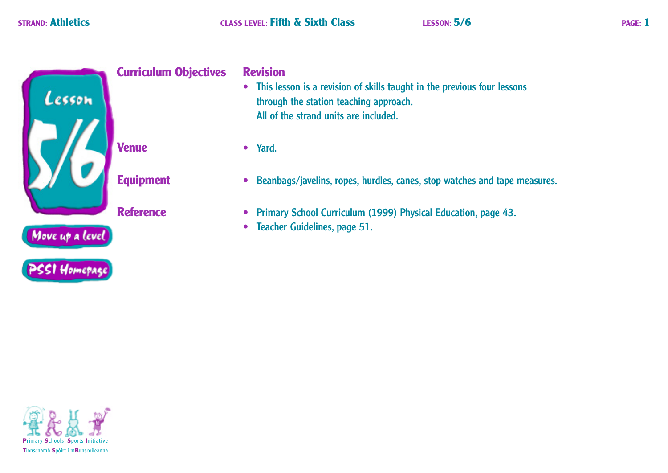

• This lesson is a revision of skills taught in the previous four lessons through the station teaching approach. All of the strand units are included.

- Beanbags/javelins, ropes, hurdles, canes, stop watches and tape measures.
- Primary School Curriculum (1999) Physical Education, page 43.
- Teacher Guidelines, page 51.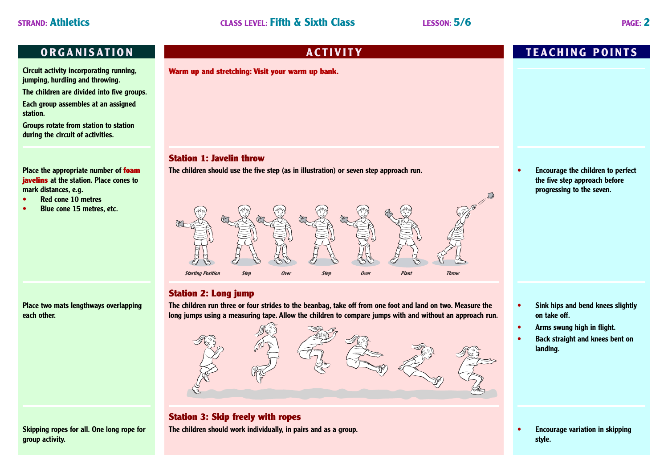**Circuit activity incorporating running, jumping, hurdling and throwing.**

**The children are divided into five groups.**

**Each group assembles at an assigned station.**

**Groups rotate from station to station during the circuit of activities.**

### **Place the appropriate number of foam javelins at the station. Place cones to mark distances, e.g.**

- **• Red cone 10 metres**
- **• Blue cone 15 metres, etc.**

**Warm up and stretching: Visit your warm up bank.**

### **Station 1: Javelin throw**

**The children should use the five step (as in illustration) or seven step approach run.**



# **Station 2: Long jump**

**Place two mats lengthways overlapping each other.**

**Skipping ropes for all. One long rope for group activity.**

**The children run three or four strides to the beanbag, take off from one foot and land on two. Measure the long jumps using a measuring tape. Allow the children to compare jumps with and without an approach run.**



# **Station 3: Skip freely with ropes The children should work individually, in pairs and as a group. • Encourage variation in skipping**

# **ORGANISATION ACTIVITY TEACHING POINTS**

**• Encourage the children to perfect the five step approach before progressing to the seven.**

- **• Sink hips and bend knees slightly on take off.**
- **• Arms swung high in flight.**
- **• Back straight and knees bent on landing.**

**style.**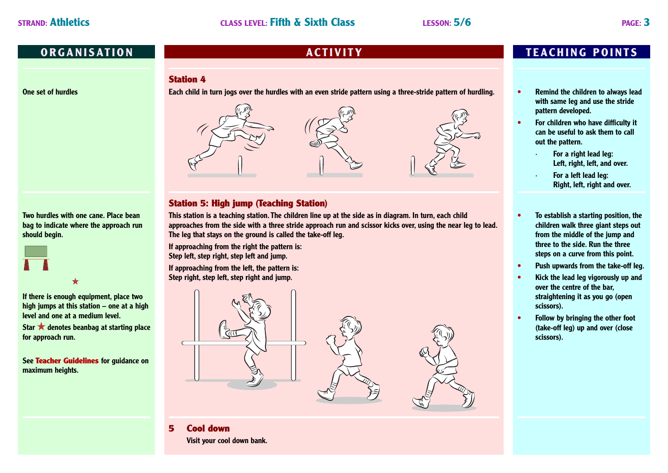### **Station 4**

**One set of hurdles**

**Each child in turn jogs over the hurdles with an even stride pattern using a three-stride pattern of hurdling.**



# **Station 5: High jump (Teaching Station)**

**This station is a teaching station. The children line up at the side as in diagram. In turn, each child approaches from the side with a three stride approach run and scissor kicks over, using the near leg to lead. The leg that stays on the ground is called the take-off leg.**

**If approaching from the right the pattern is: Step left, step right, step left and jump.**

**If approaching from the left, the pattern is: Step right, step left, step right and jump.**



### **5 Cool down Visit your cool down bank.**

**ORGANISATION ACTIVITY TEACHING POINTS**

- **• Remind the children to always lead with same leg and use the stride pattern developed.**
- **• For children who have difficulty it can be useful to ask them to call out the pattern.**
	- **· For a right lead leg: Left, right, left, and over.**
	- **· For a left lead leg: Right, left, right and over.**
- **• To establish a starting position, the children walk three giant steps out from the middle of the jump and three to the side. Run the three steps on a curve from this point.**
- **• Push upwards from the take-off leg.**
- **• Kick the lead leg vigorously up and over the centre of the bar, straightening it as you go (open scissors).**
- **• Follow by bringing the other foot (take-off leg) up and over (close scissors).**

**Two hurdles with one cane. Place bean bag to indicate where the approach run should begin.**



**If there is enough equipment, place two high jumps at this station – one at a high level and one at a medium level.**

Star **\*** denotes beanbag at starting place **for approach run.**

**See Teacher Guidelines for guidance on maximum heights.**